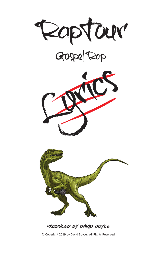





PRODUCED BY DAVID BOYCE

© Copyright 2019 by David Boyce. All Rights Reserved.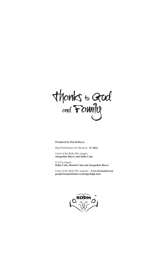thanks to God

# **Produced by David Boyce**

Rap Performance by David as - **D Alias**

Carol of the Bells Mix singers **Jacqueline Boyce and India Cain**

G'd Up singers **India Cain, Sharita Cain and Jacqueline Boyce**

Carol of the Bells Mix soprano - **www.freesound.org/ people/benjaminharveydesign/high-note**

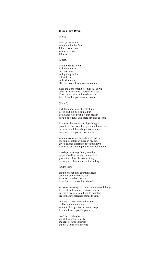### **Blessin Flow Down**

#### (Intro)

what ya gonna do when you hit the flow I don't even know when ya blessin fall down

(Chorus)

when blessins flowin kick the door in cut that steak and get to grubbin bills all paid and extra money all your break throughs are a comin

bless the Lord when blessings fall down shop this week when workers call out blast some music and we show out lets all eat this goodness no doubt

(Flow 1)

kick the door in cut that steak up get to grubbin bills all paid up do a dance when you get that blessin have a little fun cause there ain't no guessin

like a carnivore dinosaur i get hungry prowlin in the store they got somethin for me casserole enchiladas boy thats yummy burgers on the grill in my tummy

when blessins fall down brothas get up put some coolaid with ice in my cup give a church offering out of good love reach and pass them potatos the shelf above

marriages dealings family reunions prayers healing during communions give a toast Jesus hes over billing so swag off chandeliers on the ceiling

(Outro Flow)

toothpicks napkins gourmet cheese say your prayers before eat vacation travel on the cool have dem passports thats the rule

we know blessings are more than material thangs like cash and cars and diamond rangs having a peace of mind and to maintain are just a few priceless things to gains

anyway tho you know whats up d alias put ice in my cup when pockets get fat its time to erupt like a volcano i gobble you up

don't forget the charities we all be needing clarity the grace of god is flowin im just a lettin you know it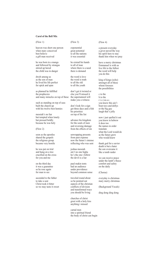# **Carol of the Bell Mix**

(Flow 1)

heaven was short one person when mary conceived best believe a gift man received

he was born in a manga and followed by strangas stirred up herod the child was in danger

dwelt among us as the son of man he lived his life perfect for spick and span

as planned he fulfilled the prophecies and many miracles on top of these the supernatural will

such as standing on top of seas built the church up with his twelve best homies

messiah's no liar but tempted when lonely but pressed boldly because he was holy

(Flow 2)

soon as the apostles shared the gospels the religious group became very hostile

he was put on trial and hung on a tree crucified on the cross for you and me

on the third day it was a guarantee so he rose again for man to see

ascended to the father to take a seat Christ took it bitter so we may taste it sweet (Flow 3)

exponential great potential to all the nations it was essential

he extend his hands to all of man where there is a need there is demand

the word is love the word is truth to all the old to all the youth

don't get it twisted or else you'll missed it make you a witness

don't look for a sign get three days and a fish his priorities on top of the list

advance his kingdom for the souls of men and reversing damage from the effects of sin

unwrapping presents from past expense now the future's intense reflecting who was sent

joshua messiah ain't no one higha he's the one i follow the devil is a liar

paul makin tents had an audience under providence beyond common sense

traveled round about so he pointed out aspects of the christian conflicts of division and transformed ways you should be living

churches of christ greet with a holy kiss anything i missed

carnal men into a spiritual friend the body of christ can begin

# (Flow 4)

a present everyday a giver paved the way his spirit here to stay thank him when we pray

have a merry christmas Emmanuel is with us live life to the fullest the word will help you do this

king of kings (echo) amongst all of these whom foresees the possibilities

c to the h to the r i s t m a s you know this ain't bout toys and dollys or the big guy laugh that's jolly

now i just spelled it out you know in hebrew it does too the names in order translate what the Lord would do as the future grew who would knew

thank god for a savior death is but a hater the son overcame it like a tomb raider

we can receive peace under the lamb's fleece comfort and safety on the daily

(Chorus)

everyday is christmas mary merry christmas

(Background Vocals)

ding dong ding dong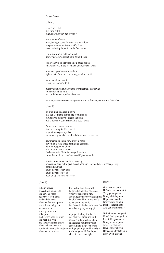# **Green Genre**

(Chorus)

what's up wit it just flow wit it everybody now say put love in it

in the name of what everybody get some Jesus dat brotherly love rep peacemakas not fakas soak'n dove soak evalasting liquid from the One above

i neva eva wanna puta end to dat how eva green ya planet betta bring it back

steady chewin on the word like a snack attack smackin devils in the face like a quarter back - what

how'a eva you'a wann'n to do it lighted path from the Lord now go and persue it

its better when i say it when you runnin' into it

but if ya dumb dumb down the word it smells like sewer soma this and dat ratta tat tat im nothin but net now how bout that

evrybody wanna soon enable greata nua level froma dynamos trua dat - what

(Flow 1)

im a top it up and drop it to ya that our God fatha did tha big toppin for us evrybody to dis day be rockin the cross butt a now shot calla isa rockin a boss - what

froma tomb came a resurrect time is coming for His respect reapin time is payin ya back everyone a gonna be a made a believa to a His reverence

new memba dilemma now tryin' ta renda til you get a legal tenda comin on a decemba comin through on a dinna blessin saints and a sinnas God neva losin Christ is always the winna cause the death on cross happened if you rememba

bow to throw down and then throw up breakin nu story but to give Jesus honor and glory and dat is whats up - yup baptized and wet anybody want to say that anybody want to get up open on up and now say Jesus

### (Flow 2)

fatha in heaven please bless us on earth you gave us Jesus hes perfect from birth we bend the knees when we feel the squeeze reach down and give us an ease - yeez you a givin us your holy spirit the heavens open up when you hear this lyric and the green grass grows when a sinnas repentin when we representin

for God so love the world he gave his only begotten son whoever believes in him should really have everlasting fun Now ya life beginnin he didn't send him in the world to condemn the world but through him he could save the But not independent world or any boy or any girl

but the kingdom saints rejoice will get you tight and livin right if ya got the holy trinity you got plenty of grace and truth raise a child up with wisdom and readied him from youth according to the gospel word for blind you will find hope, alteration and new sight

(Flow 3)

Gotta wanna get it He's the one that sent it Truly you repentant Hope is neva endin Now ya soul grinnin And you wont resent it

Write it down and pen it Now I think you gettin it Live it like you meant it Now you outta prison Jesus Christ is risen Devils always hissin He's da one thats trippin Now-a you-a living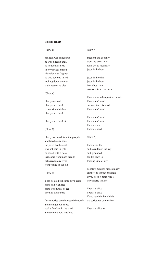# **Liberty REaD**

# (Flow 1)

his head was banged up he was a head banga he nodded his head liberty spikes embed his color wasn't green he was covered in red looking down on man is the reason he bled

(Chorus)

liberty was red liberty ain't dead crown sit on his head liberty ain't dead

liberty ain't dead x4

(Flow 2)

liberty was read from the gospels and freed many souls the price that he cost was not paid in gold he saved with a book that came from many scrolls delivered many lives from young to the old

### (Flow 3)

Yeah he died but came alive again some had even fled some whom that he led one had even dread

for centuries people passed the torch and men got out of bed spoke freedom in the shed a movement now was bred

# (Flow 4)

freedom and equality went the extra mile folks got to reconcile jesus is the how

jesus is the who jesus is the how how about now no sweat from the brow

liberty was red (repeat on outro) liberty ain't dead crown sit on his head liberty ain't dead

liberty ain't dead liberty ain't dead liberty is red liberty is read

(Flow 5)

liberty can fly and even touch the sky aint grounded but his town is looking kind of dry

people's burdens make em cry all they do is pout and sigh if you need it betta read it why liberty is alive

liberty is alive liberty is alive if you read the holy bible the scriptures come alive

liberty is alive x4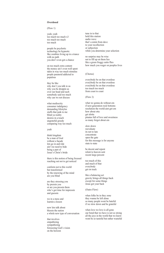# **Overdosed**

#### (Flow 1)

yeah, yeah too much too much x3 too much too much too much

people be psychotic technology be hypnotic like zombies living up in a trance with no path you don't even got a chance

on too much extra content the money ain't even well spent takin in way too much stimulus people paranoid addicted to populous

they be like why don't you talk to us why you be droppin us over our head and such somebody said too much why can we not discuss

what mediocrity consumer indulgency demanding lifestyles stuffs that junk to me blind ya reality desires in a touch ungrateful greedy comparing way too much

yeah

think kingdom be a man of God without a façade lets go in and ride ain't no need to hide being a part of Jesus's Christ's bride

there is this notion of being focused reaching out not to get noticed

conform not to this world but transformed by the renewing of the mind are you blind

are they stressing you by pressin you or are you pressin them who's got time for impressin and guessin

we in a mess and learnin a lesson

now lets talk about blessin the nation a whole new type of conversation

that involves empathizing sympathizing foreseeing God's vision on the horizon

tune in to that hold this station audio wave that's comin from dave to your recollection or subjection while you determine your selection

no surprise may be wise not to fill up on them lies like a green froggy eatin flies how much you wager on peoples lives

### (Chorus)

everybody be on that overdose everybody be on that overdose everybody be on that overdose too much too much from coast to coast

### (Flow 2)

what we gonna do without em if next generation rock bottoms resolution the world aint got em how about otta get alotta pinatas full of love and sweetness so many forgot about em

slow down reevaluate its not to late concentrate open the gate for this message is for anyone state to state

be decent and repent relent to heaven sent recent large percent

too much of this and much of that everybody get on track

like a balancing act gravity brings all things back except for some things Jesus got your back

(Outro Flow)

when folks be in they zone they wanna be left alone so many people wont be hateful if we slow down and be grateful

when love we love is all gone our bond that we have is not so strong all the joys in the world that we know wont be so tasteful but rather wasteful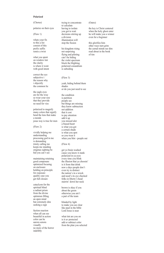### **Polarized**

(Chorus)

polarize on their eyes

(Flow 1)

whats your fix to this a list consist of this prefix suffix remix a twist

what you spent on window tint the clarity is where it went with good intent

correct the eye subjective i the reason why i objectify the common lie

the eagle eyes are for the wise so wear your size that they provide no need for vies

polarized to magnify many colors that signify bend the lens that make a mends jesus way is true for men

(Flow 2)

vividly helping me understanding processing god in me is demanding trinity calling me keeps me standing enigmas sighting be hid you can't see

maintaining retaining good composure optimized focusing on enclosure holding on principle for exposure quality case you get full closure

cataclysm for the spiritual blind a radiant prism from the divine optimism filling an open mind but extremely dim seeking a sign

faction reaction when all can see beautiful in action color can be aurora senora visually no more of the horror indelibly

trying to concentrate to calculate having to isolate you got to wait decisions stirring up a division illumination will stop the fission

his kingdom rising not surprising flying and piloting can't be hiding the violet spectrum block the blighting polarized conundrum is subsiding

#### (Flow 3)

yeah, hiding behind them shades or do you just need to see the condition

is partition people see but things are missing they know subtraction not addition that it cost to pay attention add it up you missed alot a biased heart is what you got a certain shade is what you spot so you wear it when you blot - people out

### (Flow 4)

get yo brain washed cause you know it stank polarized in ya eyes every time you blink the illusion that ya choosin' is it from that drink now a days people don't even try to distinct the nation's in a wreck and need's its eye checked folks in liberty's head stairrin' down her neck

brown is okay if you about the green otherwise you ain't a part of the team

blinded by light to make you see clear like paul in the bible Lord Jesus is near

what tint are you on is it uv protected add or subtract color from the plan you selected

#### (Outro)

the key is Christ centered when the holy ghost enter he will make you a winner even for a beginner

this glorifies him other ways turn grim the carnal minds see dim read about in the book of tim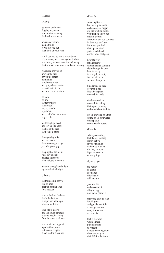#### **Raptour**

(Flow 1)

get some brain meat digging way deep searchin for meaning the level is real steep

archaic adventure a dino thrilla it will sift you out in and out of your villa

it will cut you up into a brittle bone if you wrong and come against it alone you think you have maturity and purity the truth will have your heart beatin serenity

whos side are you on are you the prey or you the raptor comin afta preyin over meat and got ya heart beatin beneath in its teeth and ain't even breathin

its claw its jaw the terror i saw in ones self had no breath nothin left and couldn't even scream or get help

ate through ya heart and tow ya life apart the life in the dark then came a spark

there you lay a lie and had to die there was no good bye just a helpless guy

the plight of the night right guy in sight covered in stripes who's clouts' dynamite

a man's strength and might try to make it all right

(Chorus)

the truth comin for ya like an apex a raptor coming after for a suspect

it want flesh of the heart that's the best part pumpin and a thumpin where it will start

your life is a cave and you lovin darkness but you needin saving from its udder starkness

you runnin and a gunnin a philosifo-rap-tour in this new chapter it can see the black noir

# (Flow 2)

some hightail it but don't quite nail it archaeological diggin got the prodigal yellin you think ya know me this ain't yoshi forerunner got you cornered in dark you can't see it tracked you back that a panic attack gotta hunch lunch ain't in your backpack

hear me roar im a dinosaur chompin and a stompin right through the door here to eat up in one gulp abruptly find ya life in me so don't disrupt me

biped made ya dead covered in red like a bed spread no need for meds

dead man walkin no need for talking that raptor prowling and somewhere stalking

got ya chewing on a mic eating on ya own words this rap tour consumes the absurd

(Flow 3)

while you smiling that thang growling it may get ya if you challenge ya homies with ya did they split ya it get ya woman or she quit ya

if you get got

the raptor as captor soon after this chapter will capture

your old life and consume it it lay an egg now you a part of it

this yoke ain't no joke it will grow and gobble new folk a new generation ready for harvest as he spoke

that is the word whom i mean pursing hearts to redeem a rapture coming after those whom give their life for the team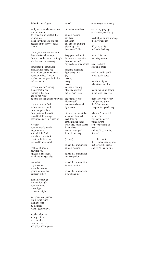#### **Reload** - monologue

well you know when devotion is set in motion its gonna stir up a little bit of commotion the enemy hates you and me because of the story of Jesus victory

if you got praise and worship days of raisin church up from weeks that were real tough you felt like it was enough

sometimes the temptation of frustration make you want to lose out on patience however it doesn't mean you've reached your limitation so keep pacin

because you ain't racing the devil's the one running out of time and im not lying he's the one that gonna be crying

if you a child of God he best not mess with cause we got bullets from praise and worship reload tenfold turn up beast mode now im stirred up

word up now my words murda shootin devils left and right flank reload the praise tank blastin holia than thou elevated to a high rank

got break through news for you squeeze a hair trigga watch the hole get bigga

sayin that clip a bayonet when the Son set get me some of that squeezin bullets

gonna fly through into the Son light now its time to praise fight on a new height

so i gonna use persona like a sprint runna takin out foes by the loads when i get up on ya

angels and prayers are my defense no coincidence overcome haters and get ya recompense reload

on that ammunition

im on a mission in Christ get a grip this ain't no guilt trip picked up a tip bust a devil's lip

keep yo mouth shut the lord's on my mind bazooka blastin' any darkness way behind

machine magazine i got every time joy destroy every decoy yo master coming after my laughter but im much fasta

the enemy foolin' his own self and gettin slammed by a pastor

did you here about the weak and the meek yeah they be tormenting enemies while they sound asleep it gets deep wanna take a peek it much too steep

(chorus)

reload that ammunition im on a mission

reload that ammunition got a suspicion

reload that ammunition im on a mission

reload that ammunition if you listening

#### (monologue continued)

everybody pray up every time you stay up

use that praise and worship it's never enough

lift ya head high make the devil cry

no need for camo we using ammo

exalt the Lord sing on a chord

crack a devil's skull if you gettin bored

we aimin higher when times are dire

making enemies drown in the mire - say what

from victory to victory and glory to glory that's how we put a cap on this good story

when we're devoted to the Lord you slaying devils with a sword so keep pressing on- ward and you'll be moving forward

keep that in mind if you every passing time just saying it's prime and you'll just be fine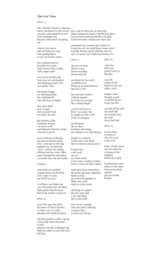# **That Livin' Water**

(Flow 1)

like a flounda i found ya sideways you may wanna quench ya soul with something cold because of the stench its getting old

i know a life source that will help your voice from getting hoarse so you can run the course

have someone told ya bout that livin water God's word is like a soldja with a super soaka

you can can up that soda from your son and daughter start drinking on that word as ya gettin' olda

that liquid swagga yes that thang matta the evalasting life that will clean ya bladda

holy spirit filled up in ya grill and you feelin fresh now that's the deal

the narrative of the Samaritan woman was drawn well and imperative that the woman went out to go tell

jesus words got to flowing but answers had her going livin' word start to showing prophetic he was knowing a livin' well he was waking affirmed and true wasn't fakin passin through the route taken a crowded mass she start makin

(Chorus)

Jesus keep you satisfied a liquid source for His bride livin' water if ya dry put 20/20 in ya eye

it will have you flippin out you will scream you will shout high quality from the spout that living word be comin out

(Flow 2)

let us flow upon the hydro the power of God is dynamo so what's in it is it nitro abundant life which he bestow

this thing gushin out like a spring with an epic mass choir bout to sing glisten in life like a diamond ring make the author of your life Jesus the King

thirsty and mursty by the byways give it up for Jesus one we need most slang a tongue do a dance with the holy ghost hose ya down to the ground like a fireman local town make a sound your entire clan

> credentials ain't essential get a hold of it living here ain't no rental keep a home with it keep the fluorine and the chlorine out of it now we soarin' ain't imploring because of it

(Flow 3)

can you see clear that he is near remove anything that present fear

not thirsty for the world so hold the tears filling up on sound doctrine open up ya ears

the Lord don't believe in being stagnate he'll cleave to ya tight like a strong magnet

you his child now so there's no need to fret he caught you like a fish in His own dragnet

He fill spaces like an oasis fountains and springs not a dream so we stop chasing

mirage is an illusion living water is the drank that we choose to keep cool in

living living water water not not in a bottle bottle if you want a swallow swallow Christ is who you follow follow

wash away those insecurities dirt grime and many impurities think ya solid the word will liquidate ya blink your eyelid make ya a new creata

old things we squash this ain't hog wash a new day begin turn ya into posh

now we ain't snoring cause the spirit is flowing ya soul is alive it surely ain't boring

(Flow 4)

water boy full of joy good to meet ya hip ahoy

i sea life school of fish high level see star make a wish

beathin' water through ya gills sword fish knows he pay the bills

real fish off the hook you catch that not commin from the book throw that back

(Flow 5)

ten feet deep we divin in all in the water is that a fin

think i found a pearl now im comin up a treasure in the kingdom had to take a gulp

God that holy water plenty if your order from heaven head quarters got you crossin borders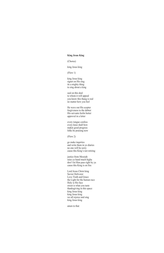### **King Jesus King**

# (Chorus)

# king Jesus king

### (Flow 1)

king Jesus king signet on His ring its a mighty thing to sing about a king

seal on this deal to whom it will appeal you know this thang is real no matter how you feel

He wave out His scepter forgiveness to the debtor His servants feelin better approval in a letter

every tongue confess every knee shall bow makin good progress folks be praising now

(Flow 2)

go make inquiries and write them in yo diaries no one will be sorry cause this King's not retiring

justice from Messiah raise yo hand much higha don't let Him pass right by ya cause this King is on fira

Lord Jesus Christ king Savior Deliverer Love Truth and Grace the Light for the human race Holy is His face sweet is what you taste thanksgiving in this space king Jesus king king Jesus king we all rejoice and sing king Jesus king

amen to that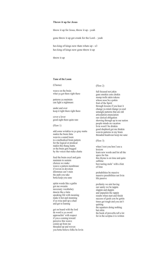# **Throw it up for Jesus**

throw it up for Jesus, throw it up - yeah

gone throw it up get crunk for the Lord - yeah

hes king of kings now thats whats up - x3 hes king of kings now gone throw it up

throw it up

# **Tune of the Loom**

(Chorus)

weave on the brain what ya got there right there

patterns ya maintain can light a nightmare

under and over keep it tight there right there

cover a lover good sight there quite rare

(Flow 1)

add some wrinkles to ya gray matta makin the brain fatta weavin a sound loom to a methodical brain pattern for the logical or prodical makin this thang matta or the brain gets bogged by the voices that make chatta

feed the brain excel and gain maintain to sustain choices we make weave a pattern membrane if woven in devotion dilemmas can't stain the path you take betta keep you sane

spitin words like a gatlin got me sweatin neccesary vocabulary dancin like a latin speaking life with meaning make it hot and steaming if ya wise pull up a chair and get to leaning

get on board with the lord da word is ya sword approachin' with respect if you a coming toward perceive this weave comin up from me threaded up and woven you betta believe folks be lovin

### (Flow 2)

full focused not jokin guns smokin cons chokin stomp trolls takin tokens whose nose be a pokin fruit of the Spirit through lessons if you hear it change ya mind change ya soul untangle patterns that are old articulation enunciation our clerical obligation showing through up in our nation people minds on vacation livin word I be drinkin good shepherd got me thinkin weavin patterns in my brain threaded headwear keep me sane

(Flow 3)

when I text you hon I use a lexicon learn new words and list all the specs for fun this rhyme is on time and quite sublime best tasting mole' with a hint of lime

probabilities be massive massive possibilities not livin life passive

profanity we aint having our sanity we be tappin slappin and dappin and unpackin the rappin results when start and finish success of goals you be gettin times get tough and you ain't quitting the squatters doing nothing but sittin the book of proverbs tell a lot for in the scriptas it is written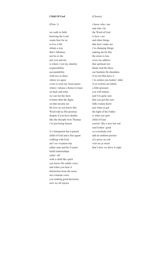### **Child Of God**

#### (Flow 1)

we walk in faith knowing the Lord wants best for us to live a life obtain a way that's fabulous not he or she just you and me is where i rest my identity responsibility accountability with two or three where we agree a rest is wear my Jesus peace where i release a home to lease sit back and relax we can list the facts it better than the digits on that income tax He love us you know this Word told us His promise despite if you have doubts like the disciple twin Thomas i'm just being honest

it's transparent but a-parent child of God and a free agent walking with God ain't no vocation trip rather man and his Creator build relationships sailin' off with a child like spirit you know His subtle voice and when you hear it distinction from the noise not a human voice you making good decisions now we all rejoice

# (Chorus)

i know who i am and who i be the Word of God is how i see and other things that don't make me i'm changing things making devils flee the stress is less cross my address that spiritual rest thank God He bless our burdens He shoulders if we let Him have it i'm certain you lookin' older if ya worries are habits a little pressure you will mature and I'm quite sure that you got the cure folks wanna know just what ya got the light of the Father is what you spot child of God cruizin' like a new hot rod soul lookin' good so everybody nod add an emblem picture of a press on cod visit on ya street that's how we drive it right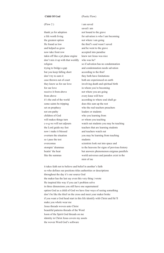### **Child Of God**

(Flow 2 )

thank ya for adoption a life worth living the greatest option He found us low and helped us grow now take front row takin off like a jet plane engine don't mix it up with that worldly who was he? religion trying to bridge a gap but you keep falling short don't try to earn it case thrown out of court they know us for our love for our love receive it from above from above it's the end of the world some saints be tripping set on prophecy not em-pathy children of God will makes things turn c-o-g we will not adjourn the Lord guide my feet now i make it blessed overturn the situation so i pass the test overcomas stompin' drammas beatin' the heat like the summas

(Poetic Flow)

i am saved saved i am not bound to the grave for salvation is who I am becoming not where i am going the thief's soul wasn't saved and he went to the grave accepted into paradise knew not Jesus was nice so if salvation has no condemnation and condemnation needs salvation according to the thief they both have limitations both are experienced on earth involving death and spiritual birth in whom you're becoming not where you are going every knee will bow according to where soul shall go does this sum up the rest who the real teachers preachers leaders or students who you learning from or whom you teaching watch out students you may be teaching teachers that are learning students and teachers watch out you may be learning from teaching students scientists look out into space and to the heavens for signs of previous history but answers phenomenon enigmas parallels world universes and paradox exist in the mist of me

it takes faith not to believe and belief in another's faith so who defines our positions titles authorities or descriptions throughout the day it's our source God the maker has the last say even this very thing i wrote He inspired this way if you can't problem solve in three dimensions you still have one supernatural option God as a child of God we have four ways of seeing something don't be like the thief on the cross and meet your maker broke if you want a God head start in this life identify with Christ and He'll make you whole wear me Jesus threads woven unto Christ beautiful patterns threads of the Word loom of the Spirit God threads on me identity in Christ Jesus covers my assets the woven Word God's software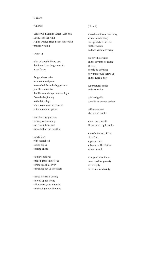# **S Word**

# (Chorus)

Son of God Elohim Great I Am and Lord Jesus the King Alpha Omega High Priest Hallelujah praises we sing

(Flow 1)

a lot of people like to use the S word but im gonna spit it out for ya

for goodness sake turn to the scripture to see God form the big picture you'll even realize that He was always there with ya from the beginning to the later days when satan was out there to sift you out and get ya

searching for purpose seeking out meaning sun rise in from east shade fall on the breathin

sanctify ya with scarlet red seeing higha soaring ahead

salutary motives spaded grass like clovas serene space all over stretching out ya shoulders

sacred life He's giving set you up for living still waters you swimmin shining light not dimming

### (Flow 2)

sacred sanctorum sanctuary when He was scary the Spirit dwelt in His mother womb and her name was mary

six days he created on the seventh he chose to Rest people be debating how man could screw up on the Lord's best

supernatural savior and sea walker

spiritual guide sometimes unseen stalker

selfless servant also a soul catcha

sound doctrine fill His stomach up I betcha

son of man son of God of em' all supreme ruler submits to The Father when He call

sow good seed there is no need for poverty sovereignty cover me for eternity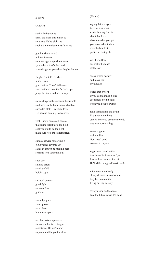#### **S Word**

(Flow 3)

sanity for humanity a real big mess this planet be solutions He be givin me sophia divine wisdom can't ya see

got that sharp sword pointed forward soon enough we pushin toward sympathetic that's the Lord rams dodge people when they're floored.

shepherd shield His sheep not bo peep grab that staff don't fall asleep save that herd now that's for keeps jump the fence and take a leap

steward's preacha subdues the trouble student's teacha burst satan's bubble shrouded cloth it covered love His second coming from above

yeah - show some self control that saline salt it taste too bold sent you out to be the light make sure you are standing right

sunday service rehearsing it bible verses covered yet saints at church be making bets schisms stop you betta quit

supa star shining bright scroll unfold holdin tight

spiritual powers good fight serpents flee got bite

saved by grace saints g race set a place brand new space

secular make a spectacle shown on that tv rectangle sensational He ain't about supernatural He got the clout

# (Flow 4)

saying daily prayers is about that what sowin bearing fruit is about that love show em what you got you know what it does save the best last pullin out that grub

we like to flow but make the tones really low

speak words bestow and make the rhythms go

watch that s word if you gonna make it sing use it right hold it tight when you bout to swing

folks slangin life and death like a common thing careful how you use those words they can hurt or sting

sweet supplier make it dire God's real good no need to buyers

sugar rush i can't retire toes be curlin i'm super flya Jesus a have you set for life He'll slide in a good lookin wife

set you up abundantly all my dreams in front of me they become reality living out my destiny

save ya time on the dime take the futura cause it's mine